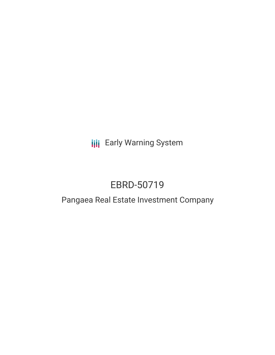**III** Early Warning System

# EBRD-50719

## Pangaea Real Estate Investment Company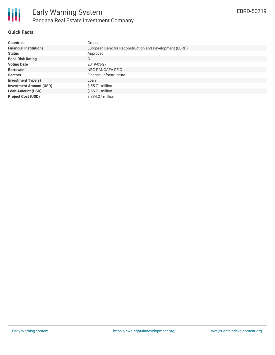

#### **Quick Facts**

| <b>Countries</b>               | Greece                                                  |  |  |  |
|--------------------------------|---------------------------------------------------------|--|--|--|
| <b>Financial Institutions</b>  | European Bank for Reconstruction and Development (EBRD) |  |  |  |
| <b>Status</b>                  | Approved                                                |  |  |  |
| <b>Bank Risk Rating</b>        | С                                                       |  |  |  |
| <b>Voting Date</b>             | 2019-03-27                                              |  |  |  |
| <b>Borrower</b>                | NBG PANGAEA REIC                                        |  |  |  |
| <b>Sectors</b>                 | Finance, Infrastructure                                 |  |  |  |
| <b>Investment Type(s)</b>      | Loan                                                    |  |  |  |
| <b>Investment Amount (USD)</b> | $$55.71$ million                                        |  |  |  |
| <b>Loan Amount (USD)</b>       | $$55.71$ million                                        |  |  |  |
| <b>Project Cost (USD)</b>      | \$334.27 million                                        |  |  |  |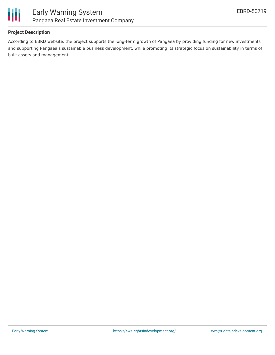



#### **Project Description**

According to EBRD website, the project supports the long-term growth of Pangaea by providing funding for new investments and supporting Pangaea's sustainable business development, while promoting its strategic focus on sustainability in terms of built assets and management.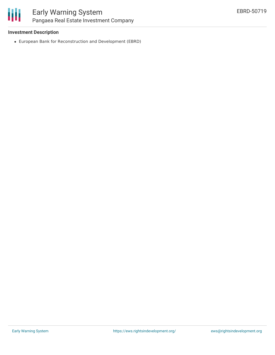#### **Investment Description**

European Bank for Reconstruction and Development (EBRD)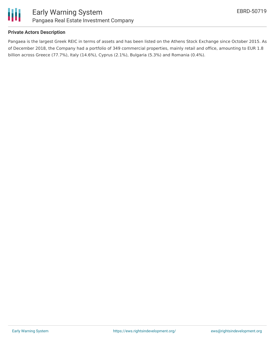

#### **Private Actors Description**

Pangaea is the largest Greek REIC in terms of assets and has been listed on the Athens Stock Exchange since October 2015. As of December 2018, the Company had a portfolio of 349 commercial properties, mainly retail and office, amounting to EUR 1.8 billion across Greece (77.7%), Italy (14.6%), Cyprus (2.1%), Bulgaria (5.3%) and Romania (0.4%).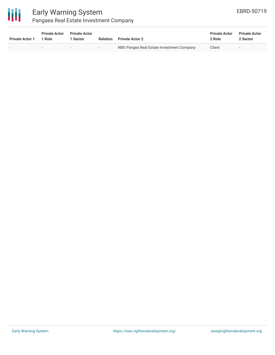

### Early Warning System Pangaea Real Estate Investment Company

| <b>Private Actor 1</b> | <b>Private Actor</b><br>1 Role | <b>Private Actor</b><br>Sector | Relation                 | <b>Private Actor 2</b>                    | <b>Private Actor</b><br>2 Role | <b>Private Actor</b><br>2 Sector |
|------------------------|--------------------------------|--------------------------------|--------------------------|-------------------------------------------|--------------------------------|----------------------------------|
|                        |                                |                                | $\overline{\phantom{a}}$ | NBG Pangea Real Estate Investment Company | Client                         |                                  |